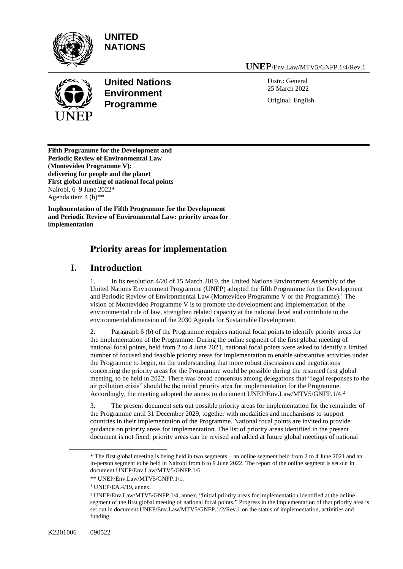

**UNITED NATIONS**



**United Nations Environment Programme**

**UNEP**/Env.Law/MTV5/GNFP.1/4/Rev.1

Distr.: General 25 March 2022 Original: English

**Fifth Programme for the Development and Periodic Review of Environmental Law (Montevideo Programme V): delivering for people and the planet First global meeting of national focal points** Nairobi, 6–9 June 2022\* Agenda item  $4(b)$ <sup>\*\*</sup>

**Implementation of the Fifth Programme for the Development and Periodic Review of Environmental Law: priority areas for implementation**

# **Priority areas for implementation**

## **I. Introduction**

1. In its resolution 4/20 of 15 March 2019, the United Nations Environment Assembly of the United Nations Environment Programme (UNEP) adopted the fifth Programme for the Development and Periodic Review of Environmental Law (Montevideo Programme V or the Programme).<sup>1</sup> The vision of Montevideo Programme V is to promote the development and implementation of the environmental rule of law, strengthen related capacity at the national level and contribute to the environmental dimension of the 2030 Agenda for Sustainable Development.

2. Paragraph 6 (b) of the Programme requires national focal points to identify priority areas for the implementation of the Programme. During the online segment of the first global meeting of national focal points, held from 2 to 4 June 2021, national focal points were asked to identify a limited number of focused and feasible priority areas for implementation to enable substantive activities under the Programme to begin, on the understanding that more robust discussions and negotiations concerning the priority areas for the Programme would be possible during the resumed first global meeting, to be held in 2022. There was broad consensus among delegations that "legal responses to the air pollution crisis" should be the initial priority area for implementation for the Programme. Accordingly, the meeting adopted the annex to document UNEP/Env.Law/MTV5/GNFP.1/4.<sup>2</sup>

3. The present document sets out possible priority areas for implementation for the remainder of the Programme until 31 December 2029, together with modalities and mechanisms to support countries in their implementation of the Programme. National focal points are invited to provide guidance on priority areas for implementation. The list of priority areas identified in the present document is not fixed; priority areas can be revised and added at future global meetings of national

<sup>\*</sup> The first global meeting is being held in two segments – an online segment held from 2 to 4 June 2021 and an in-person segment to be held in Nairobi from 6 to 9 June 2022. The report of the online segment is set out in document UNEP/Env.Law/MTV5/GNFP.1/6.

<sup>\*\*</sup> UNEP/Env.Law/MTV5/GNFP.1/1.

<sup>1</sup> UNEP/EA.4/19, annex.

<sup>2</sup> UNEP/Env.Law/MTV5/GNFP.1/4, annex, "Initial priority areas for implementation identified at the online segment of the first global meeting of national focal points." Progress in the implementation of that priority area is set out in document UNEP/Env.Law/MTV5/GNFP.1/2/Rev.1 on the status of implementation, activities and funding.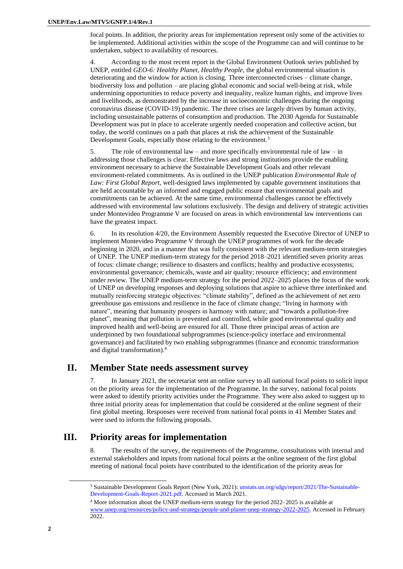focal points. In addition, the priority areas for implementation represent only some of the activities to be implemented. Additional activities within the scope of the Programme can and will continue to be undertaken, subject to availability of resources.

4. According to the most recent report in the Global Environment Outlook series published by UNEP, entitled *GEO-6: Healthy Planet, Healthy People*, the global environmental situation is deteriorating and the window for action is closing. Three interconnected crises – climate change, biodiversity loss and pollution – are placing global economic and social well-being at risk, while undermining opportunities to reduce poverty and inequality, realize human rights, and improve lives and livelihoods, as demonstrated by the increase in socioeconomic challenges during the ongoing coronavirus disease (COVID-19) pandemic. The three crises are largely driven by human activity, including unsustainable patterns of consumption and production. The 2030 Agenda for Sustainable Development was put in place to accelerate urgently needed cooperation and collective action, but today, the world continues on a path that places at risk the achievement of the Sustainable Development Goals, especially those relating to the environment.<sup>3</sup>

5. The role of environmental law – and more specifically environmental rule of law – in addressing those challenges is clear. Effective laws and strong institutions provide the enabling environment necessary to achieve the Sustainable Development Goals and other relevant environment-related commitments. As is outlined in the UNEP publication *Environmental Rule of Law: First Global Report*, well-designed laws implemented by capable government institutions that are held accountable by an informed and engaged public ensure that environmental goals and commitments can be achieved. At the same time, environmental challenges cannot be effectively addressed with environmental law solutions exclusively. The design and delivery of strategic activities under Montevideo Programme V are focused on areas in which environmental law interventions can have the greatest impact.

6. In its resolution 4/20, the Environment Assembly requested the Executive Director of UNEP to implement Montevideo Programme V through the UNEP programmes of work for the decade beginning in 2020, and in a manner that was fully consistent with the relevant medium-term strategies of UNEP. The UNEP medium-term strategy for the period 2018–2021 identified seven priority areas of focus: climate change; resilience to disasters and conflicts; healthy and productive ecosystems; environmental governance; chemicals, waste and air quality; resource efficiency; and environment under review. The UNEP medium-term strategy for the period 2022–2025 places the focus of the work of UNEP on developing responses and deploying solutions that aspire to achieve three interlinked and mutually reinforcing strategic objectives: "climate stability", defined as the achievement of net zero greenhouse gas emissions and resilience in the face of climate change; "living in harmony with nature", meaning that humanity prospers in harmony with nature; and "towards a pollution-free planet", meaning that pollution is prevented and controlled, while good environmental quality and improved health and well-being are ensured for all. Those three principal areas of action are underpinned by two foundational subprogrammes (science-policy interface and environmental governance) and facilitated by two enabling subprogrammes (finance and economic transformation and digital transformation).<sup>4</sup>

## **II. Member State needs assessment survey**

7. In January 2021, the secretariat sent an online survey to all national focal points to solicit input on the priority areas for the implementation of the Programme. In the survey, national focal points were asked to identify priority activities under the Programme. They were also asked to suggest up to three initial priority areas for implementation that could be considered at the online segment of their first global meeting. Responses were received from national focal points in 41 Member States and were used to inform the following proposals.

## **III. Priority areas for implementation**

8. The results of the survey, the requirements of the Programme, consultations with internal and external stakeholders and inputs from national focal points at the online segment of the first global meeting of national focal points have contributed to the identification of the priority areas for

<sup>3</sup> Sustainable Development Goals Report (New York, 2021)[: unstats.un.org/sdgs/report/2021/The-Sustainable-](https://unstats.un.org/sdgs/report/2021/The-Sustainable-Development-Goals-Report-2021.pdf)[Development-Goals-Report-2021.pdf.](https://unstats.un.org/sdgs/report/2021/The-Sustainable-Development-Goals-Report-2021.pdf) Accessed in March 2021.

<sup>4</sup> More information about the UNEP medium-term strategy for the period 2022–2025 is available at [www.unep.org/resources/policy-and-strategy/people-and-planet-unep-strategy-2022-2025.](http://www.unep.org/resources/policy-and-strategy/people-and-planet-unep-strategy-2022-2025) Accessed in February 2022.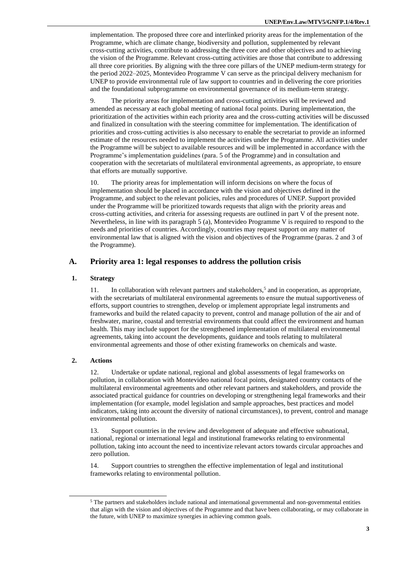implementation. The proposed three core and interlinked priority areas for the implementation of the Programme, which are climate change, biodiversity and pollution, supplemented by relevant cross-cutting activities, contribute to addressing the three core and other objectives and to achieving the vision of the Programme. Relevant cross-cutting activities are those that contribute to addressing all three core priorities. By aligning with the three core pillars of the UNEP medium-term strategy for the period 2022–2025, Montevideo Programme V can serve as the principal delivery mechanism for UNEP to provide environmental rule of law support to countries and in delivering the core priorities and the foundational subprogramme on environmental governance of its medium-term strategy.

9. The priority areas for implementation and cross-cutting activities will be reviewed and amended as necessary at each global meeting of national focal points. During implementation, the prioritization of the activities within each priority area and the cross-cutting activities will be discussed and finalized in consultation with the steering committee for implementation. The identification of priorities and cross-cutting activities is also necessary to enable the secretariat to provide an informed estimate of the resources needed to implement the activities under the Programme. All activities under the Programme will be subject to available resources and will be implemented in accordance with the Programme's implementation guidelines (para. 5 of the Programme) and in consultation and cooperation with the secretariats of multilateral environmental agreements, as appropriate, to ensure that efforts are mutually supportive.

10. The priority areas for implementation will inform decisions on where the focus of implementation should be placed in accordance with the vision and objectives defined in the Programme, and subject to the relevant policies, rules and procedures of UNEP. Support provided under the Programme will be prioritized towards requests that align with the priority areas and cross-cutting activities, and criteria for assessing requests are outlined in part V of the present note. Nevertheless, in line with its paragraph 5 (a), Montevideo Programme V is required to respond to the needs and priorities of countries. Accordingly, countries may request support on any matter of environmental law that is aligned with the vision and objectives of the Programme (paras. 2 and 3 of the Programme).

### **A. Priority area 1: legal responses to address the pollution crisis**

#### **1. Strategy**

11. In collaboration with relevant partners and stakeholders,<sup>5</sup> and in cooperation, as appropriate, with the secretariats of multilateral environmental agreements to ensure the mutual supportiveness of efforts, support countries to strengthen, develop or implement appropriate legal instruments and frameworks and build the related capacity to prevent, control and manage pollution of the air and of freshwater, marine, coastal and terrestrial environments that could affect the environment and human health. This may include support for the strengthened implementation of multilateral environmental agreements, taking into account the developments, guidance and tools relating to multilateral environmental agreements and those of other existing frameworks on chemicals and waste.

#### **2. Actions**

12. Undertake or update national, regional and global assessments of legal frameworks on pollution, in collaboration with Montevideo national focal points, designated country contacts of the multilateral environmental agreements and other relevant partners and stakeholders, and provide the associated practical guidance for countries on developing or strengthening legal frameworks and their implementation (for example, model legislation and sample approaches, best practices and model indicators, taking into account the diversity of national circumstances), to prevent, control and manage environmental pollution.

13. Support countries in the review and development of adequate and effective subnational, national, regional or international legal and institutional frameworks relating to environmental pollution, taking into account the need to incentivize relevant actors towards circular approaches and zero pollution.

14. Support countries to strengthen the effective implementation of legal and institutional frameworks relating to environmental pollution.

<sup>5</sup> The partners and stakeholders include national and international governmental and non-governmental entities that align with the vision and objectives of the Programme and that have been collaborating, or may collaborate in the future, with UNEP to maximize synergies in achieving common goals.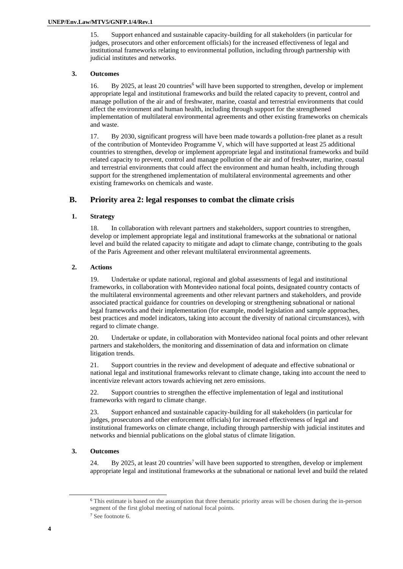15. Support enhanced and sustainable capacity-building for all stakeholders (in particular for judges, prosecutors and other enforcement officials) for the increased effectiveness of legal and institutional frameworks relating to environmental pollution, including through partnership with judicial institutes and networks.

#### **3. Outcomes**

16. By 2025, at least 20 countries<sup>6</sup> will have been supported to strengthen, develop or implement appropriate legal and institutional frameworks and build the related capacity to prevent, control and manage pollution of the air and of freshwater, marine, coastal and terrestrial environments that could affect the environment and human health, including through support for the strengthened implementation of multilateral environmental agreements and other existing frameworks on chemicals and waste.

17. By 2030, significant progress will have been made towards a pollution-free planet as a result of the contribution of Montevideo Programme V, which will have supported at least 25 additional countries to strengthen, develop or implement appropriate legal and institutional frameworks and build related capacity to prevent, control and manage pollution of the air and of freshwater, marine, coastal and terrestrial environments that could affect the environment and human health, including through support for the strengthened implementation of multilateral environmental agreements and other existing frameworks on chemicals and waste.

### **B. Priority area 2: legal responses to combat the climate crisis**

#### **1. Strategy**

18. In collaboration with relevant partners and stakeholders, support countries to strengthen, develop or implement appropriate legal and institutional frameworks at the subnational or national level and build the related capacity to mitigate and adapt to climate change, contributing to the goals of the Paris Agreement and other relevant multilateral environmental agreements.

#### **2. Actions**

19. Undertake or update national, regional and global assessments of legal and institutional frameworks, in collaboration with Montevideo national focal points, designated country contacts of the multilateral environmental agreements and other relevant partners and stakeholders, and provide associated practical guidance for countries on developing or strengthening subnational or national legal frameworks and their implementation (for example, model legislation and sample approaches, best practices and model indicators, taking into account the diversity of national circumstances), with regard to climate change.

20. Undertake or update, in collaboration with Montevideo national focal points and other relevant partners and stakeholders, the monitoring and dissemination of data and information on climate litigation trends.

21. Support countries in the review and development of adequate and effective subnational or national legal and institutional frameworks relevant to climate change, taking into account the need to incentivize relevant actors towards achieving net zero emissions.

22. Support countries to strengthen the effective implementation of legal and institutional frameworks with regard to climate change.

23. Support enhanced and sustainable capacity-building for all stakeholders (in particular for judges, prosecutors and other enforcement officials) for increased effectiveness of legal and institutional frameworks on climate change, including through partnership with judicial institutes and networks and biennial publications on the global status of climate litigation.

#### **3. Outcomes**

24. By 2025, at least 20 countries<sup>7</sup> will have been supported to strengthen, develop or implement appropriate legal and institutional frameworks at the subnational or national level and build the related

<sup>6</sup> This estimate is based on the assumption that three thematic priority areas will be chosen during the in-person segment of the first global meeting of national focal points.

<sup>7</sup> See footnote 6.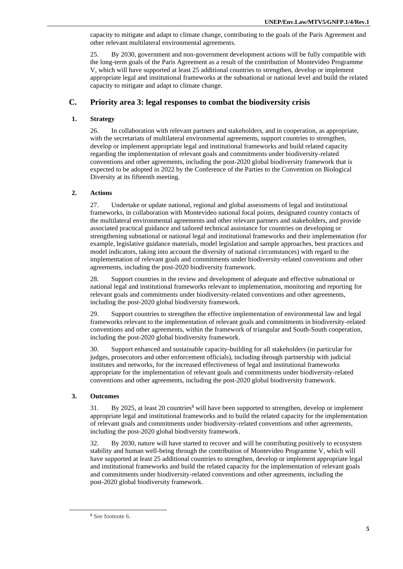capacity to mitigate and adapt to climate change, contributing to the goals of the Paris Agreement and other relevant multilateral environmental agreements.

25. By 2030, government and non-government development actions will be fully compatible with the long-term goals of the Paris Agreement as a result of the contribution of Montevideo Programme V, which will have supported at least 25 additional countries to strengthen, develop or implement appropriate legal and institutional frameworks at the subnational or national level and build the related capacity to mitigate and adapt to climate change.

## **C. Priority area 3: legal responses to combat the biodiversity crisis**

#### **1. Strategy**

26. In collaboration with relevant partners and stakeholders, and in cooperation, as appropriate, with the secretariats of multilateral environmental agreements, support countries to strengthen, develop or implement appropriate legal and institutional frameworks and build related capacity regarding the implementation of relevant goals and commitments under biodiversity-related conventions and other agreements, including the post-2020 global biodiversity framework that is expected to be adopted in 2022 by the Conference of the Parties to the Convention on Biological Diversity at its fifteenth meeting.

#### **2. Actions**

27. Undertake or update national, regional and global assessments of legal and institutional frameworks, in collaboration with Montevideo national focal points, designated country contacts of the multilateral environmental agreements and other relevant partners and stakeholders, and provide associated practical guidance and tailored technical assistance for countries on developing or strengthening subnational or national legal and institutional frameworks and their implementation (for example, legislative guidance materials, model legislation and sample approaches, best practices and model indicators, taking into account the diversity of national circumstances) with regard to the implementation of relevant goals and commitments under biodiversity-related conventions and other agreements, including the post-2020 biodiversity framework.

28. Support countries in the review and development of adequate and effective subnational or national legal and institutional frameworks relevant to implementation, monitoring and reporting for relevant goals and commitments under biodiversity-related conventions and other agreements, including the post-2020 global biodiversity framework.

29. Support countries to strengthen the effective implementation of environmental law and legal frameworks relevant to the implementation of relevant goals and commitments in biodiversity-related conventions and other agreements, within the framework of triangular and South-South cooperation, including the post-2020 global biodiversity framework.

30. Support enhanced and sustainable capacity-building for all stakeholders (in particular for judges, prosecutors and other enforcement officials), including through partnership with judicial institutes and networks, for the increased effectiveness of legal and institutional frameworks appropriate for the implementation of relevant goals and commitments under biodiversity-related conventions and other agreements, including the post-2020 global biodiversity framework.

#### **3. Outcomes**

31. By 2025, at least 20 countries<sup>8</sup> will have been supported to strengthen, develop or implement appropriate legal and institutional frameworks and to build the related capacity for the implementation of relevant goals and commitments under biodiversity-related conventions and other agreements, including the post-2020 global biodiversity framework.

32. By 2030, nature will have started to recover and will be contributing positively to ecosystem stability and human well-being through the contribution of Montevideo Programme V, which will have supported at least 25 additional countries to strengthen, develop or implement appropriate legal and institutional frameworks and build the related capacity for the implementation of relevant goals and commitments under biodiversity-related conventions and other agreements, including the post-2020 global biodiversity framework.

<sup>8</sup> See footnote 6.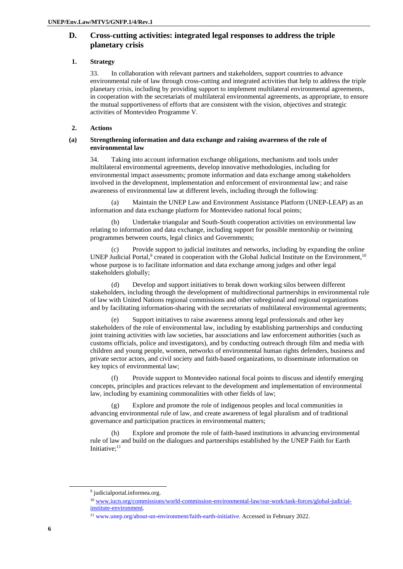## **D. Cross-cutting activities: integrated legal responses to address the triple planetary crisis**

#### **1. Strategy**

33. In collaboration with relevant partners and stakeholders, support countries to advance environmental rule of law through cross-cutting and integrated activities that help to address the triple planetary crisis, including by providing support to implement multilateral environmental agreements, in cooperation with the secretariats of multilateral environmental agreements, as appropriate, to ensure the mutual supportiveness of efforts that are consistent with the vision, objectives and strategic activities of Montevideo Programme V.

### **2. Actions**

#### **(a) Strengthening information and data exchange and raising awareness of the role of environmental law**

34. Taking into account information exchange obligations, mechanisms and tools under multilateral environmental agreements, develop innovative methodologies, including for environmental impact assessments; promote information and data exchange among stakeholders involved in the development, implementation and enforcement of environmental law; and raise awareness of environmental law at different levels, including through the following:

(a) Maintain the UNEP Law and Environment Assistance Platform (UNEP-LEAP) as an information and data exchange platform for Montevideo national focal points;

(b) Undertake triangular and South-South cooperation activities on environmental law relating to information and data exchange, including support for possible mentorship or twinning programmes between courts, legal clinics and Governments;

(c) Provide support to judicial institutes and networks, including by expanding the online UNEP Judicial Portal,<sup>9</sup> created in cooperation with the Global Judicial Institute on the Environment,<sup>10</sup> whose purpose is to facilitate information and data exchange among judges and other legal stakeholders globally;

(d) Develop and support initiatives to break down working silos between different stakeholders, including through the development of multidirectional partnerships in environmental rule of law with United Nations regional commissions and other subregional and regional organizations and by facilitating information-sharing with the secretariats of multilateral environmental agreements;

(e) Support initiatives to raise awareness among legal professionals and other key stakeholders of the role of environmental law, including by establishing partnerships and conducting joint training activities with law societies, bar associations and law enforcement authorities (such as customs officials, police and investigators), and by conducting outreach through film and media with children and young people, women, networks of environmental human rights defenders, business and private sector actors, and civil society and faith-based organizations, to disseminate information on key topics of environmental law;

(f) Provide support to Montevideo national focal points to discuss and identify emerging concepts, principles and practices relevant to the development and implementation of environmental law, including by examining commonalities with other fields of law;

(g) Explore and promote the role of indigenous peoples and local communities in advancing environmental rule of law, and create awareness of legal pluralism and of traditional governance and participation practices in environmental matters;

(h) Explore and promote the role of faith-based institutions in advancing environmental rule of law and build on the dialogues and partnerships established by the UNEP Faith for Earth Initiative:<sup>11</sup>

<sup>&</sup>lt;sup>9</sup> judicialportal.informea.org.

<sup>10</sup> [www.iucn.org/commissions/world-commission-environmental-law/our-work/task-forces/global-judicial](http://www.iucn.org/commissions/world-commission-environmental-law/our-work/task-forces/global-judicial-institute-environment)[institute-environment.](http://www.iucn.org/commissions/world-commission-environmental-law/our-work/task-forces/global-judicial-institute-environment)

<sup>11</sup> [www.unep.org/about-un-environment/faith-earth-initiative.](http://www.unep.org/about-un-environment/faith-earth-initiative) Accessed in February 2022.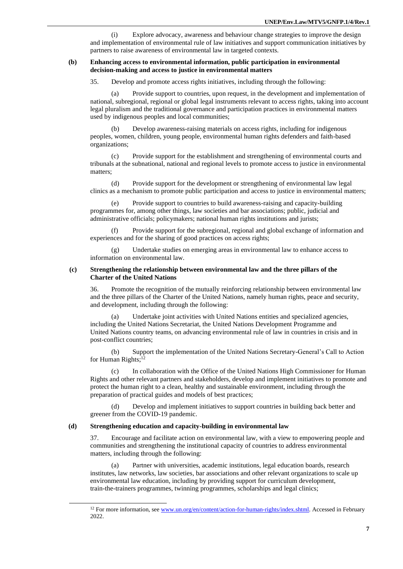(i) Explore advocacy, awareness and behaviour change strategies to improve the design and implementation of environmental rule of law initiatives and support communication initiatives by partners to raise awareness of environmental law in targeted contexts.

#### **(b) Enhancing access to environmental information, public participation in environmental decision-making and access to justice in environmental matters**

35. Develop and promote access rights initiatives, including through the following:

(a) Provide support to countries, upon request, in the development and implementation of national, subregional, regional or global legal instruments relevant to access rights, taking into account legal pluralism and the traditional governance and participation practices in environmental matters used by indigenous peoples and local communities;

(b) Develop awareness-raising materials on access rights, including for indigenous peoples, women, children, young people, environmental human rights defenders and faith-based organizations;

(c) Provide support for the establishment and strengthening of environmental courts and tribunals at the subnational, national and regional levels to promote access to justice in environmental matters;

(d) Provide support for the development or strengthening of environmental law legal clinics as a mechanism to promote public participation and access to justice in environmental matters;

(e) Provide support to countries to build awareness-raising and capacity-building programmes for, among other things, law societies and bar associations; public, judicial and administrative officials; policymakers; national human rights institutions and jurists;

(f) Provide support for the subregional, regional and global exchange of information and experiences and for the sharing of good practices on access rights;

(g) Undertake studies on emerging areas in environmental law to enhance access to information on environmental law.

#### **(c) Strengthening the relationship between environmental law and the three pillars of the Charter of the United Nations**

36. Promote the recognition of the mutually reinforcing relationship between environmental law and the three pillars of the Charter of the United Nations, namely human rights, peace and security, and development, including through the following:

Undertake joint activities with United Nations entities and specialized agencies, including the United Nations Secretariat, the United Nations Development Programme and United Nations country teams, on advancing environmental rule of law in countries in crisis and in post-conflict countries;

(b) Support the implementation of the United Nations Secretary-General's Call to Action for Human Rights;<sup>12</sup>

(c) In collaboration with the Office of the United Nations High Commissioner for Human Rights and other relevant partners and stakeholders, develop and implement initiatives to promote and protect the human right to a clean, healthy and sustainable environment, including through the preparation of practical guides and models of best practices;

(d) Develop and implement initiatives to support countries in building back better and greener from the COVID-19 pandemic.

#### **(d) Strengthening education and capacity-building in environmental law**

37. Encourage and facilitate action on environmental law, with a view to empowering people and communities and strengthening the institutional capacity of countries to address environmental matters, including through the following:

(a) Partner with universities, academic institutions, legal education boards, research institutes, law networks, law societies, bar associations and other relevant organizations to scale up environmental law education, including by providing support for curriculum development, train-the-trainers programmes, twinning programmes, scholarships and legal clinics;

<sup>&</sup>lt;sup>12</sup> For more information, se[e www.un.org/en/content/action-for-human-rights/index.shtml.](http://www.un.org/en/content/action-for-human-rights/index.shtml) Accessed in February 2022.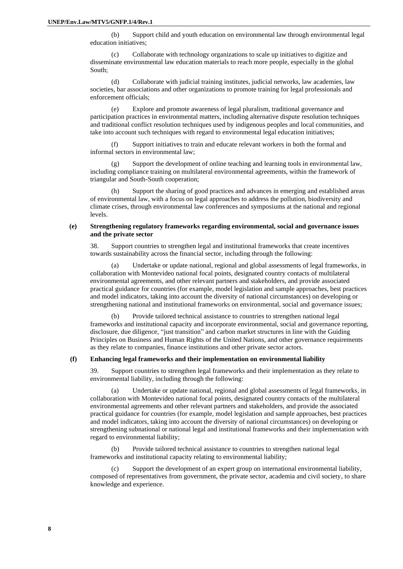(b) Support child and youth education on environmental law through environmental legal education initiatives;

(c) Collaborate with technology organizations to scale up initiatives to digitize and disseminate environmental law education materials to reach more people, especially in the global South;

(d) Collaborate with judicial training institutes, judicial networks, law academies, law societies, bar associations and other organizations to promote training for legal professionals and enforcement officials;

(e) Explore and promote awareness of legal pluralism, traditional governance and participation practices in environmental matters, including alternative dispute resolution techniques and traditional conflict resolution techniques used by indigenous peoples and local communities, and take into account such techniques with regard to environmental legal education initiatives;

(f) Support initiatives to train and educate relevant workers in both the formal and informal sectors in environmental law;

(g) Support the development of online teaching and learning tools in environmental law, including compliance training on multilateral environmental agreements, within the framework of triangular and South-South cooperation;

(h) Support the sharing of good practices and advances in emerging and established areas of environmental law, with a focus on legal approaches to address the pollution, biodiversity and climate crises, through environmental law conferences and symposiums at the national and regional levels.

#### **(e) Strengthening regulatory frameworks regarding environmental, social and governance issues and the private sector**

38. Support countries to strengthen legal and institutional frameworks that create incentives towards sustainability across the financial sector, including through the following:

(a) Undertake or update national, regional and global assessments of legal frameworks, in collaboration with Montevideo national focal points, designated country contacts of multilateral environmental agreements, and other relevant partners and stakeholders, and provide associated practical guidance for countries (for example, model legislation and sample approaches, best practices and model indicators, taking into account the diversity of national circumstances) on developing or strengthening national and institutional frameworks on environmental, social and governance issues;

(b) Provide tailored technical assistance to countries to strengthen national legal frameworks and institutional capacity and incorporate environmental, social and governance reporting, disclosure, due diligence, "just transition" and carbon market structures in line with the Guiding Principles on Business and Human Rights of the United Nations, and other governance requirements as they relate to companies, finance institutions and other private sector actors.

#### **(f) Enhancing legal frameworks and their implementation on environmental liability**

39. Support countries to strengthen legal frameworks and their implementation as they relate to environmental liability, including through the following:

(a) Undertake or update national, regional and global assessments of legal frameworks, in collaboration with Montevideo national focal points, designated country contacts of the multilateral environmental agreements and other relevant partners and stakeholders, and provide the associated practical guidance for countries (for example, model legislation and sample approaches, best practices and model indicators, taking into account the diversity of national circumstances) on developing or strengthening subnational or national legal and institutional frameworks and their implementation with regard to environmental liability;

(b) Provide tailored technical assistance to countries to strengthen national legal frameworks and institutional capacity relating to environmental liability;

Support the development of an expert group on international environmental liability, composed of representatives from government, the private sector, academia and civil society, to share knowledge and experience.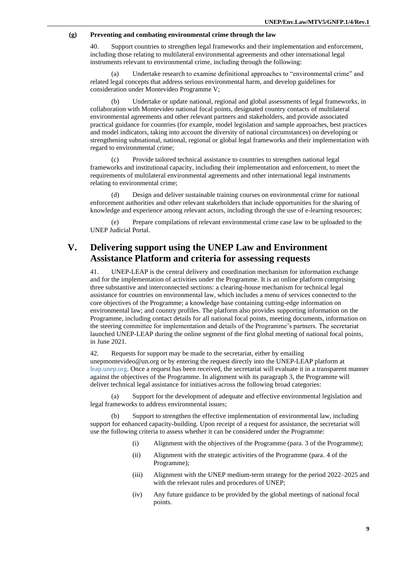#### **(g) Preventing and combating environmental crime through the law**

40. Support countries to strengthen legal frameworks and their implementation and enforcement, including those relating to multilateral environmental agreements and other international legal instruments relevant to environmental crime, including through the following:

Undertake research to examine definitional approaches to "environmental crime" and related legal concepts that address serious environmental harm, and develop guidelines for consideration under Montevideo Programme V;

(b) Undertake or update national, regional and global assessments of legal frameworks, in collaboration with Montevideo national focal points, designated country contacts of multilateral environmental agreements and other relevant partners and stakeholders, and provide associated practical guidance for countries (for example, model legislation and sample approaches, best practices and model indicators, taking into account the diversity of national circumstances) on developing or strengthening subnational, national, regional or global legal frameworks and their implementation with regard to environmental crime;

(c) Provide tailored technical assistance to countries to strengthen national legal frameworks and institutional capacity, including their implementation and enforcement, to meet the requirements of multilateral environmental agreements and other international legal instruments relating to environmental crime;

Design and deliver sustainable training courses on environmental crime for national enforcement authorities and other relevant stakeholders that include opportunities for the sharing of knowledge and experience among relevant actors, including through the use of e-learning resources;

(e) Prepare compilations of relevant environmental crime case law to be uploaded to the UNEP Judicial Portal.

## **V. Delivering support using the UNEP Law and Environment Assistance Platform and criteria for assessing requests**

41. UNEP-LEAP is the central delivery and coordination mechanism for information exchange and for the implementation of activities under the Programme. It is an online platform comprising three substantive and interconnected sections: a clearing-house mechanism for technical legal assistance for countries on environmental law, which includes a menu of services connected to the core objectives of the Programme; a knowledge base containing cutting-edge information on environmental law; and country profiles. The platform also provides supporting information on the Programme, including contact details for all national focal points, meeting documents, information on the steering committee for implementation and details of the Programme's partners. The secretariat launched UNEP-LEAP during the online segment of the first global meeting of national focal points, in June 2021.

42. Requests for support may be made to the secretariat, either by emailing [unepmontevideo@un.org](mailto:unep-montevideo@un.org) or by entering the request directly into the [UNEP-LEAP platform](file:///C:/Users/amandacabrejoleroux/Downloads/leap.unep.org) at [leap.unep.org.](https://leap.unep.org/) Once a request has been received, the secretariat will evaluate it in a transparent manner against the objectives of the Programme. In alignment with its paragraph 3, the Programme will deliver technical legal assistance for initiatives across the following broad categories:

(a) Support for the development of adequate and effective environmental legislation and legal frameworks to address environmental issues;

(b) Support to strengthen the effective implementation of environmental law, including support for enhanced capacity-building. Upon receipt of a request for assistance, the secretariat will use the following criteria to assess whether it can be considered under the Programme:

- (i) Alignment with the objectives of the Programme (para. 3 of the Programme);
- (ii) Alignment with the strategic activities of the Programme (para. 4 of the Programme);
- (iii) Alignment with the UNEP medium-term strategy for the period 2022–2025 and with the relevant rules and procedures of UNEP;
- (iv) Any future guidance to be provided by the global meetings of national focal points.